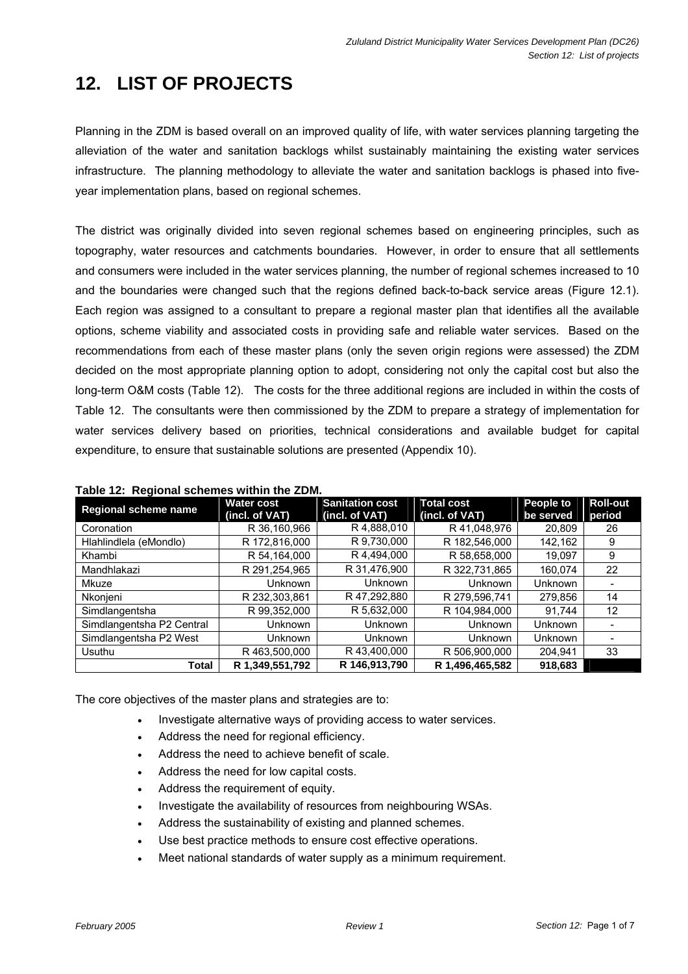# **12. LIST OF PROJECTS**

Planning in the ZDM is based overall on an improved quality of life, with water services planning targeting the alleviation of the water and sanitation backlogs whilst sustainably maintaining the existing water services infrastructure. The planning methodology to alleviate the water and sanitation backlogs is phased into fiveyear implementation plans, based on regional schemes.

The district was originally divided into seven regional schemes based on engineering principles, such as topography, water resources and catchments boundaries. However, in order to ensure that all settlements and consumers were included in the water services planning, the number of regional schemes increased to 10 and the boundaries were changed such that the regions defined back-to-back service areas (Figure 12.1). Each region was assigned to a consultant to prepare a regional master plan that identifies all the available options, scheme viability and associated costs in providing safe and reliable water services. Based on the recommendations from each of these master plans (only the seven origin regions were assessed) the ZDM decided on the most appropriate planning option to adopt, considering not only the capital cost but also the long-term O&M costs (Table 12). The costs for the three additional regions are included in within the costs of Table 12. The consultants were then commissioned by the ZDM to prepare a strategy of implementation for water services delivery based on priorities, technical considerations and available budget for capital expenditure, to ensure that sustainable solutions are presented (Appendix 10).

| Regional scheme name      | <b>Water cost</b><br>(incl. of VAT) | <b>Sanitation cost</b><br>(incl. of VAT) | <b>Total cost</b><br>(incl. of VAT) | <b>People to</b><br>be served | <b>Roll-out</b><br>period |
|---------------------------|-------------------------------------|------------------------------------------|-------------------------------------|-------------------------------|---------------------------|
| Coronation                | R 36,160,966                        | R4,888,010                               | R 41,048,976                        | 20,809                        | 26                        |
| Hlahlindlela (eMondlo)    | R 172,816,000                       | R 9,730,000                              | R 182,546,000                       | 142,162                       | 9                         |
| Khambi                    | R 54,164,000                        | R 4,494,000                              | R 58,658,000                        | 19,097                        | 9                         |
| Mandhlakazi               | R 291,254,965                       | R 31,476,900                             | R 322,731,865                       | 160,074                       | 22                        |
| Mkuze                     | Unknown                             | Unknown                                  | Unknown                             | Unknown                       |                           |
| Nkonjeni                  | R 232,303,861                       | R 47,292,880                             | R 279,596,741                       | 279,856                       | 14                        |
| Simdlangentsha            | R 99,352,000                        | R 5,632,000                              | R 104,984,000                       | 91.744                        | 12                        |
| Simdlangentsha P2 Central | Unknown                             | Unknown                                  | Unknown                             | <b>Unknown</b>                |                           |
| Simdlangentsha P2 West    | Unknown                             | Unknown                                  | Unknown                             | Unknown                       |                           |
| Usuthu                    | R 463,500,000                       | R 43,400,000                             | R 506,900,000                       | 204,941                       | 33                        |
| <b>Total</b>              | R 1,349,551,792                     | R 146,913,790                            | R 1,496,465,582                     | 918,683                       |                           |

**Table 12: Regional schemes within the ZDM.** 

The core objectives of the master plans and strategies are to:

- Investigate alternative ways of providing access to water services.
- Address the need for regional efficiency.
- Address the need to achieve benefit of scale.
- Address the need for low capital costs.
- Address the requirement of equity.
- Investigate the availability of resources from neighbouring WSAs.
- Address the sustainability of existing and planned schemes.
- Use best practice methods to ensure cost effective operations.
- Meet national standards of water supply as a minimum requirement.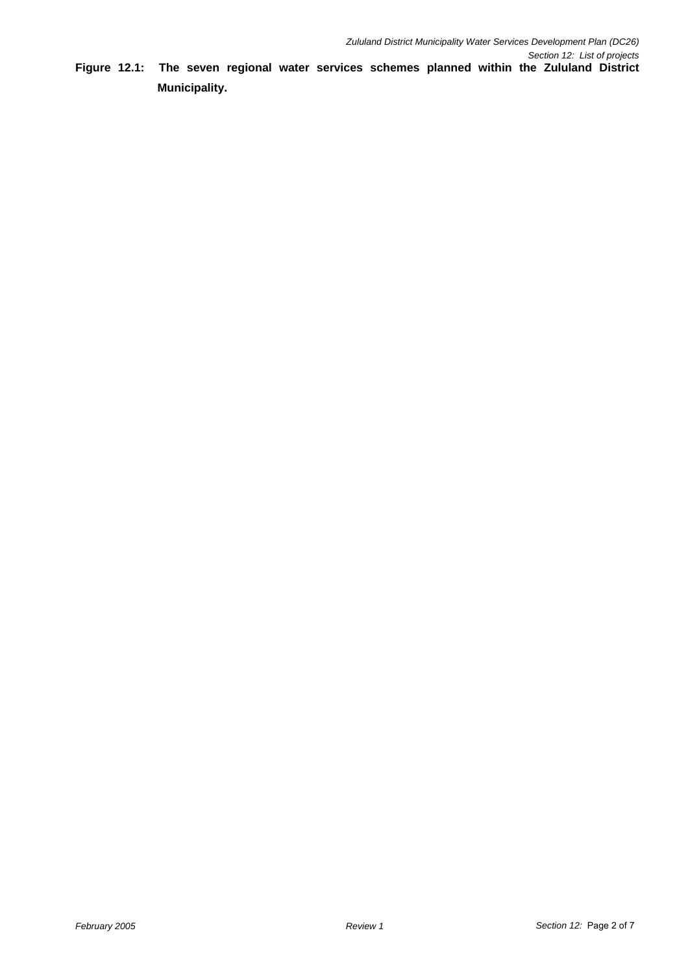**Figure 12.1: The seven regional water services schemes planned within the Zululand District Municipality.**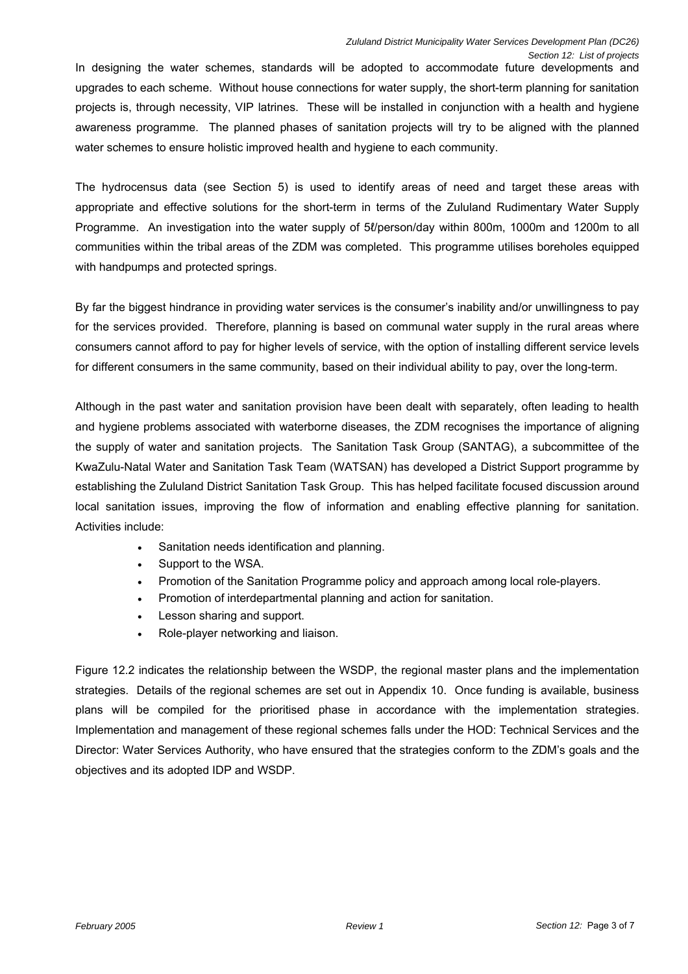In designing the water schemes, standards will be adopted to accommodate future developments and upgrades to each scheme. Without house connections for water supply, the short-term planning for sanitation projects is, through necessity, VIP latrines. These will be installed in conjunction with a health and hygiene awareness programme. The planned phases of sanitation projects will try to be aligned with the planned water schemes to ensure holistic improved health and hygiene to each community.

The hydrocensus data (see Section 5) is used to identify areas of need and target these areas with appropriate and effective solutions for the short-term in terms of the Zululand Rudimentary Water Supply Programme. An investigation into the water supply of 5*l*/person/day within 800m, 1000m and 1200m to all communities within the tribal areas of the ZDM was completed. This programme utilises boreholes equipped with handpumps and protected springs.

By far the biggest hindrance in providing water services is the consumer's inability and/or unwillingness to pay for the services provided. Therefore, planning is based on communal water supply in the rural areas where consumers cannot afford to pay for higher levels of service, with the option of installing different service levels for different consumers in the same community, based on their individual ability to pay, over the long-term.

Although in the past water and sanitation provision have been dealt with separately, often leading to health and hygiene problems associated with waterborne diseases, the ZDM recognises the importance of aligning the supply of water and sanitation projects. The Sanitation Task Group (SANTAG), a subcommittee of the KwaZulu-Natal Water and Sanitation Task Team (WATSAN) has developed a District Support programme by establishing the Zululand District Sanitation Task Group. This has helped facilitate focused discussion around local sanitation issues, improving the flow of information and enabling effective planning for sanitation. Activities include:

- Sanitation needs identification and planning.
- Support to the WSA.
- Promotion of the Sanitation Programme policy and approach among local role-players.
- Promotion of interdepartmental planning and action for sanitation.
- Lesson sharing and support.
- Role-player networking and liaison.

Figure 12.2 indicates the relationship between the WSDP, the regional master plans and the implementation strategies. Details of the regional schemes are set out in Appendix 10. Once funding is available, business plans will be compiled for the prioritised phase in accordance with the implementation strategies. Implementation and management of these regional schemes falls under the HOD: Technical Services and the Director: Water Services Authority, who have ensured that the strategies conform to the ZDM's goals and the objectives and its adopted IDP and WSDP.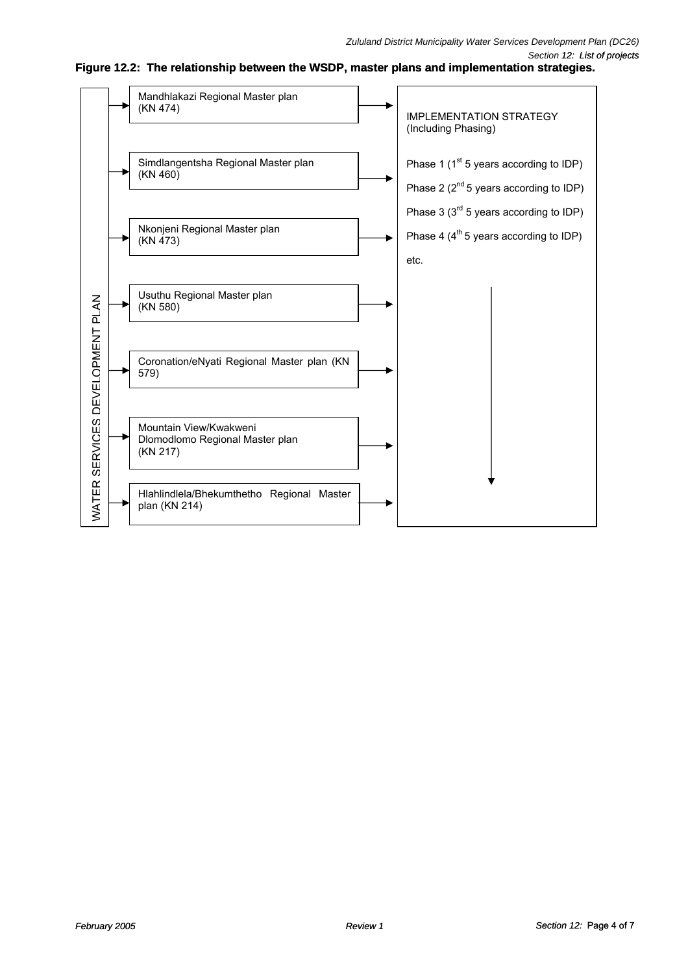

**Figure 12.2: The relationship between the WSDP, master plans and implementation strategies.**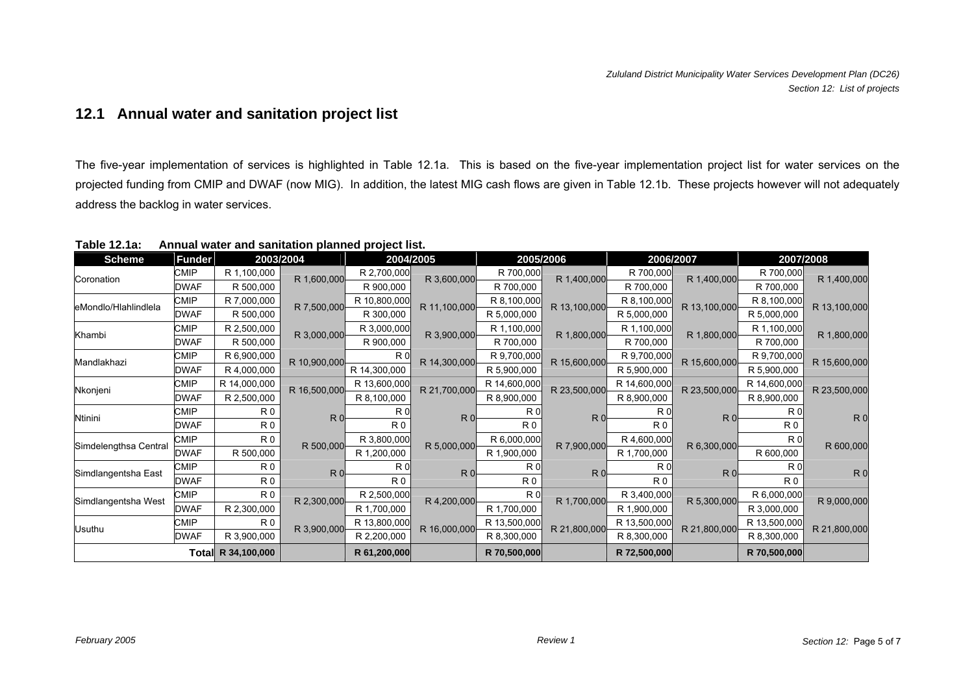## **12.1 Annual water and sanitation project list**

The five-year implementation of services is highlighted in Table 12.1a. This is based on the five-year implementation project list for water services on the projected funding from CMIP and DWAF (now MIG). In addition, the latest MIG cash flows are given in Table 12.1b. These projects however will not adequately address the backlog in water services.

| <b>Scheme</b>         | <b>Funder</b> | 2003/2004          |                | 2004/2005      |                | 2005/2006      |                | 2006/2007      |                |                | 2007/2008      |
|-----------------------|---------------|--------------------|----------------|----------------|----------------|----------------|----------------|----------------|----------------|----------------|----------------|
| Coronation            | <b>CMIP</b>   | R 1,100,000        | R 1,600,000    | R 2,700,000    | R 3,600,000    | R 700,000      | R 1,400,000    | R 700,000      | R 1,400,000    | R 700,000      | R 1,400,000    |
|                       | <b>DWAF</b>   | R 500,000          |                | R 900,000      |                | R 700,000      |                | R 700,000      |                | R 700,000      |                |
| eMondlo/Hlahlindlela  | CMIP          | R 7,000,000        | R 7,500,000    | R 10,800,000   | R 11,100,000   | R 8,100,000    | R 13,100,000   | R 8,100,000    | R 13,100,000   | R 8,100,000    | R 13,100,000   |
|                       | DWAF          | R 500,000          |                | R 300,000      |                | R 5,000,000    |                | R 5,000,000    |                | R 5,000,000    |                |
| Khambi                | CMIP          | R 2,500,000        | R 3,000,000    | R 3,000,000    | R 3,900,000    | R 1,100,000    | R 1,800,000    | R 1,100,000    | R 1,800,000    | R 1,100,000    | R 1,800,000    |
|                       | DWAF          | R 500,000          |                | R 900,000      |                | R 700,000      |                | R 700,000      |                | R 700,000      |                |
| Mandlakhazi           | CMIP          | R 6,900,000        | R 10,900,000   | R <sub>0</sub> | R 14,300,000   | R 9,700,000    | R 15,600,000   | R 9,700,000    | R 15,600,000   | R 9,700,000    | R 15,600,000   |
|                       | <b>DWAF</b>   | R 4,000,000        |                | R 14,300,000   |                | R 5,900,000    |                | R 5,900,000    |                | R 5,900,000    |                |
| Nkonjeni              | CMIP          | R 14,000,000       | R 16,500,000   | R 13,600,000   | R 21,700,000   | R 14,600,000   | R 23,500,000   | R 14,600,000   | R 23,500,000   | R 14,600,000   | R 23,500,000   |
|                       | <b>DWAF</b>   | R 2,500,000        |                | R 8,100,000    |                | R 8,900,000    |                | R 8,900,000    |                | R 8,900,000    |                |
| Ntinini               | <b>CMIP</b>   | R <sub>0</sub>     | R <sub>0</sub> | R <sub>0</sub> | R <sub>0</sub> | R <sub>0</sub> | R <sub>0</sub> | R <sub>0</sub> | R <sub>0</sub> | R0             | R <sub>0</sub> |
|                       | DWAF          | R <sub>0</sub>     |                | R <sub>0</sub> |                | R <sub>0</sub> |                | R <sub>0</sub> |                | R <sub>0</sub> |                |
| Simdelengthsa Central | <b>CMIP</b>   | R <sub>0</sub>     | R 500,000      | R 3,800,000    | R 5,000,000    | R 6,000,000    | R 7,900,000    | R 4,600,000    | R 6,300,000    | R <sub>0</sub> | R 600,000      |
|                       | DWAF          | R 500,000          |                | R 1,200,000    |                | R 1,900,000    |                | R 1,700,000    |                | R 600,000      |                |
| Simdlangentsha East   | CMIP          | R <sub>0</sub>     | R <sub>0</sub> | R <sub>0</sub> | R <sub>0</sub> | R <sub>0</sub> | R <sub>0</sub> | R <sub>0</sub> | R <sub>0</sub> | R0             | R <sub>0</sub> |
|                       | <b>DWAF</b>   | R <sub>0</sub>     |                | R <sub>0</sub> |                | R <sub>0</sub> |                | R <sub>0</sub> |                | R <sub>0</sub> |                |
| Simdlangentsha West   | CMIP          | R <sub>0</sub>     | R 2,300,000    | R 2,500,000    | R 4,200,000    | R <sub>0</sub> | R 1,700,000    | R 3,400,000    | R 5,300,000    | R 6,000,000    | R 9,000,000    |
|                       | <b>DWAF</b>   | R 2,300,000        |                | R 1,700,000    |                | R 1,700,000    |                | R 1,900,000    |                | R 3,000,000    |                |
|                       | CMIP          | R <sub>0</sub>     | R 3,900,000    | R 13,800,000   | R 16,000,000   | R 13,500,000   | R 21,800,000   | R 13,500,000   | R 21,800,000   | R 13,500,000   | R 21,800,000   |
| Usuthu                | DWAF          | R 3,900,000        |                | R 2,200,000    |                | R 8,300,000    |                | R 8,300,000    |                | R 8,300,000    |                |
|                       |               | Total R 34,100,000 |                | R 61,200,000   |                | R 70,500,000   |                | R 72,500,000   |                | R 70,500,000   |                |

**Table 12.1a: Annual water and sanitation planned project list.**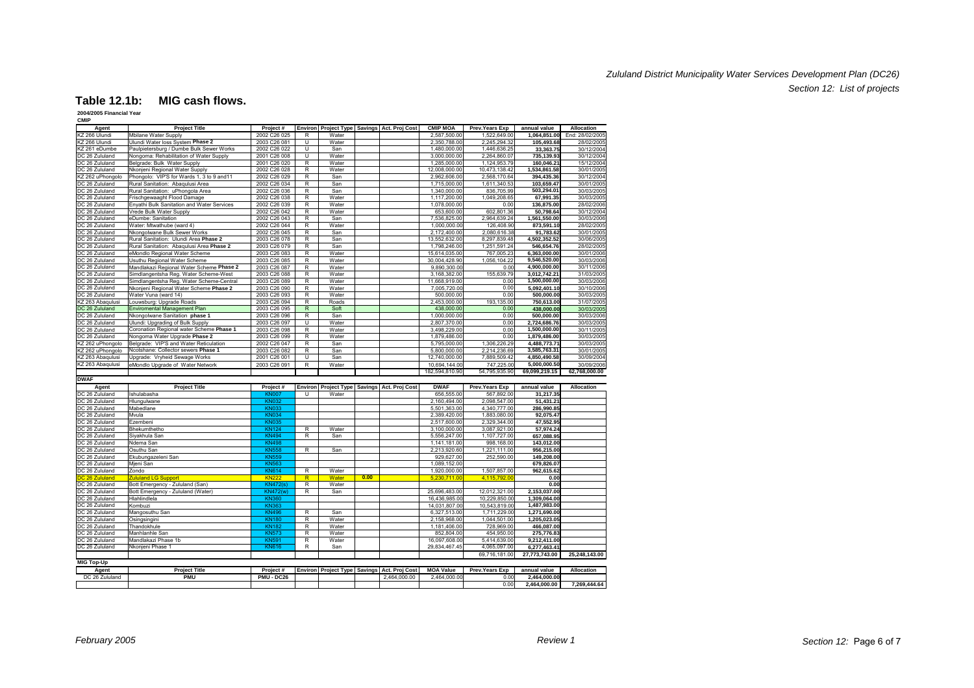### *Zululand District Municipality Water Services Development Plan (DC26) Section 12: List of projects*

#### **Table 12.1b: MIG cash flows.**

### **2004/2005 Financial Year**

| <b>CMIP</b>                    |                                                          |                              |                |                |      |                                             |                             |                             |                             |                               |
|--------------------------------|----------------------------------------------------------|------------------------------|----------------|----------------|------|---------------------------------------------|-----------------------------|-----------------------------|-----------------------------|-------------------------------|
| Agent                          | <b>Project Title</b>                                     | Project#                     |                |                |      | Environ Project Type Savings Act. Proj Cost | <b>CMIP MOA</b>             | Prev. Years Exp             | annual value                | Allocation                    |
| KZ 266 Ulundi<br>KZ 266 Ulundi | Mbilane Water Supply<br>Ulundi Water loss System Phase 2 | 2002 C26 025<br>2003 C26 081 | R<br>Ü         | Water<br>Water |      |                                             | 2,587,500.00<br>2,350,788.0 | 1,522,649.00<br>2,245,294.3 | 1,064,851.00<br>105,493.6   | End: 28/02/2005<br>28/02/2005 |
| KZ 261 eDumbe                  | Paulpietersburg / Dumbe Bulk Sewer Works                 | 2002 C26 022                 | Ū              | San            |      |                                             | 1,480,000.00                | 1,446,636.2                 | 33,363.7                    | 30/12/2004                    |
| DC 26 Zululand                 | Nongoma: Rehabilitation of Water Supply                  | 2001 C26 008                 | U              | Water          |      |                                             | 3.000.000.00                | 2.264.860.07                | 735.139.9                   | 30/12/2004                    |
| DC 26 Zululand                 | Belgrade: Bulk Water Supply                              | 2001 C26 020                 | R              | Water          |      |                                             | 1,285,000.00                | 1,124,953.79                | 160,046.2                   | 15/12/2004                    |
| DC 26 Zululand                 | Nkonjeni Regional Water Supply                           | 2002 C26 028                 | R              | Water          |      |                                             | 12.008.000.00               | 10.473.138.42               | 1,534,861.58                | 30/01/2005                    |
| KZ 262 uPhongolo               | Phongolo: VIP'S for Wards 1, 3 to 9 and 11               | 2002 C26 029                 | R              | San            |      |                                             | 2,962,606.00                | 2,568,170.64                | 394,435.36                  | 30/12/2004                    |
| DC 26 Zululand                 | Rural Sanitation: Abaqulusi Area                         | 2002 C26 034                 | R              | San            |      |                                             | 1,715,000.00                | 1,611,340.5                 | 103,659.47                  | 30/01/2005                    |
| DC 26 Zululand                 | Rural Sanitation: uPhongola Area                         | 2002 C26 036                 | R              | San            |      |                                             | 1,340,000.00                | 836,705.99                  | 503.294.01                  | 30/03/2005                    |
| DC 26 Zululand                 | Frischgewaaght Flood Damage                              | 2002 C26 038                 | R              | Water          |      |                                             | 1,117,200.00                | 1,049,208.65                | 67,991.35                   | 30/03/2005                    |
| DC 26 Zululand                 | Enyathi Bulk Sanitation and Water Services               | 2002 C26 039                 | R              | Water          |      |                                             | 1.078.000.00                | 0.00                        | 136,875.00                  | 28/02/2006                    |
| DC 26 Zululand                 | Vrede Bulk Water Supply                                  | 2002 C26 042                 | R              | Water          |      |                                             | 653,600.00                  | 602,801.36                  | 50,798.64                   | 30/12/2004                    |
| DC 26 Zululand                 | eDumbe: Sanitation                                       | 2002 C26 043                 | R              | San            |      |                                             | 7.536.825.00                | 2,964,639.24                | 1,561,550.00                | 30/03/2006                    |
| DC 26 Zululand                 | Water: Mtwathube (ward 4)                                | 2002 C26 044                 | R              | Water          |      |                                             | 1,000,000.00                | 126,408.90                  | 873,591.1                   | 28/02/2005                    |
| DC 26 Zululand                 | Nkongolwane Bulk Sewer Works                             | 2002 C26 045                 | R              | San            |      |                                             | 2.172.400.00                | 2.080.616.38                | 91.783.6                    | 30/01/200                     |
| DC 26 Zululand                 | Rural Sanitation: Ulundi Area Phase 2                    | 2003 C26 078                 | R              | San            |      |                                             | 13,552,632.00               | 8,297,839.48                | 4,502,352.52                | 30/06/2005                    |
| DC 26 Zululand                 | Rural Sanitation: Abaqulusi Area Phase 2                 | 2003 C26 079                 | R              | San            |      |                                             | 1,798,246.00                | 1,251,591.24                | 546,654.76                  | 28/02/2005                    |
| DC 26 Zululand                 | eMondlo Regional Water Scheme                            | 2003 C26 083                 | R              | Water          |      |                                             | 15,614,035.00               | 767.005.2                   | 6,363,000.00                | 30/01/2006                    |
| DC 26 Zululand                 | Usuthu Regional Water Scheme                             | 2003 C26 085                 | R              | Water          |      |                                             | 30,004,428.90               | 1,056,104.22                | 9,546,520.00                | 30/03/2006                    |
| DC 26 Zululand                 | Mandlakazi Regional Water Scheme Phase 2                 | 2003 C26 087                 | R              | Water          |      |                                             | 9,890,300.0                 | 0.00                        | 4,900,000.00                | 30/11/2006                    |
| DC 26 Zululand                 | Simdlangentsha Reg. Water Scheme-West                    | 2003 C26 088                 | R              | Water          |      |                                             | 3,168,382.00                | 155,639.79                  | 3,012,742.2                 | 31/03/2005                    |
| DC 26 Zululand                 | Simdlangentsha Reg. Water Scheme-Central                 | 2003 C26 089                 | R              | Water          |      |                                             | 11.668.919.00               | 0.00                        | 1.500.000.00                | 30/03/2006                    |
| DC 26 Zululand                 | Nkonjeni Regional Water Scheme Phase 2                   | 2003 C26 090                 | R              | Water          |      |                                             | 7,005,720.00                | 0.00                        | 5,092,401.10                | 30/10/2006                    |
| DC 26 Zululand                 | Water Vuna (ward 14)                                     | 2003 C26 093                 | R              | Water          |      |                                             | 500,000.00                  | 0.00                        | 500,000.0                   | 30/03/2005                    |
| KZ 263 Abaqulusi               | Louwsburg: Upgrade Roads                                 | 2003 C26 094                 | R              | Roads          |      |                                             | 2,453,000.00                | 193,135.00                  | 750,613.0                   | 31/07/2005                    |
| DC 26 Zululand                 | Enviromental Management Plan                             | 2003 C26 095                 | $\overline{R}$ | Soft           |      |                                             | 438,000.00                  | 0.00                        | 438,000.0                   | 30/03/2005                    |
| DC 26 Zululand                 | Nkongolwane Sanitation phase 1                           | 2003 C26 096                 | R              | San            |      |                                             | 1,000,000.00                | 0.00                        | 500,000.00                  | 30/03/2006                    |
| DC 26 Zululand                 | Ulundi: Upgrading of Bulk Supply                         | 2003 C26 097                 | Ū              | Water          |      |                                             | 2,807,370.00                | 0.00                        | 2,724,686.76                | 30/03/2005                    |
| DC 26 Zululand                 | Coronation Regional water Scheme Phase 1                 | 2003 C26 098                 | R              | Water          |      |                                             | 3.498.229.00                | 0.00                        | 1.500.000.00                | 30/11/200                     |
| DC 26 Zululand                 | Nongoma Water Upgrade Phase 2                            | 2003 C26 099                 | R              | Water          |      |                                             | 1,879,486.00                | 0.00                        | 1,879,486.00                | 30/03/200                     |
| KZ 262 uPhongolo               | Belgrade: VIP'S and Water Reticulation                   | 2002 C26 047                 | R              | San            |      |                                             | 5,795,000.00                | 1,306,226.2                 | 4,488,773.7                 | 30/03/2005                    |
| KZ 262 uPhongolo               | Ncotshane: Collector sewers Phase 1                      | 2003 C26 082                 | R              | San            |      |                                             | 5.800.000.00                | 2.214.236.69                | 3,585,763.3                 | 30/01/2005                    |
|                                |                                                          |                              |                |                |      |                                             |                             |                             |                             |                               |
| KZ 263 Abaqulusi               | Upgrade: Vryheid Sewage Works                            | 2001 C26 001                 | U              | San            |      |                                             | 12,740,000.00               | 7,889,509.42                | 4,850,490.58                | 30/09/2004                    |
| KZ 263 Abaqulusi               | eMondlo Upgrade of Water Network                         | 2003 C26 091                 | R              | Water          |      |                                             | 10,694,144.0                | 747.225.0                   | 5.000.000.5                 | 30/09/2006                    |
|                                |                                                          |                              |                |                |      |                                             | 182,594,810.9               | 54,795,935.90               | 69,099,219.15               | 62,768,000.00                 |
| <b>DWAF</b>                    |                                                          |                              |                |                |      |                                             |                             |                             |                             |                               |
| Agent                          | <b>Project Title</b>                                     | Project #                    |                |                |      | Environ Project Type Savings Act. Proj Cost | <b>DWAF</b>                 | <b>Prev.Years Exp</b>       | annual value                | Allocation                    |
| DC 26 Zululand                 | Ishulabasha                                              | KN <sub>UU</sub>             | π              | Water          |      |                                             | 656,555.00                  | 567.892.00                  | 31,217.35                   |                               |
| DC 26 Zululand                 | Hlungulwane                                              | <b>KN032</b>                 |                |                |      |                                             | 2.160.494.00                | 2.098.547.00                | 51.431.2                    |                               |
| DC 26 Zululand                 | Mabedlane                                                | <b>KN033</b>                 |                |                |      |                                             | 5,501,363.00                | 4,340,777.00                | 286,990.85                  |                               |
| DC 26 Zululand                 | Mvula                                                    | <b>KN034</b>                 |                |                |      |                                             | 2,389,420.00                | 1,883,080.00                | 92,075.4                    |                               |
| DC 26 Zululand                 | Ezembeni                                                 | <b>KN035</b>                 |                |                |      |                                             | 2.517.600.00                | 2,329,344.00                | 47,552.9                    |                               |
| DC 26 Zululand                 | Bhekumthetho                                             | <b>KN124</b>                 | R              | Water          |      |                                             | 3,100,000.00                | 3,087,921.00                | 57.974.24                   |                               |
| DC 26 Zululand                 | Siyakhula San                                            | <b>KN494</b>                 | R              | San            |      |                                             | 5,556,247.00                | 1,107,727.00                | 657,088.9                   |                               |
| DC 26 Zululand                 | Ndema San                                                | <b>KN498</b>                 |                |                |      |                                             | 1,141,181.00                | 998,168.00                  | 143,012.0                   |                               |
| DC 26 Zululand                 | Osuthu San                                               | <b>KN558</b>                 | R              | San            |      |                                             | 2,213,920.60                | 1,221,111.00                | 956,215.0                   |                               |
| DC 26 Zululand                 | Ekubungazeleni San                                       | <b>KN559</b>                 |                |                |      |                                             | 929,627.00                  | 252,590.00                  | 149,208.00                  |                               |
| DC 26 Zululand                 | Mjeni San                                                | <b>KN563</b>                 |                |                |      |                                             | 1,089,152.00                |                             | 679,826.0                   |                               |
| DC 26 Zululand                 | Zondo                                                    | <b>KN614</b>                 | R              | Water          |      |                                             | 1,920,000.00                | 1,507,857.0                 | 962,615.6                   |                               |
| DC 26 Zululand                 | <b>Zululand LG Support</b>                               | <b>KN222</b>                 | $\overline{R}$ | Water          | 0.00 |                                             | 5.230.711.0                 | 4.115.792.0                 | 0.01                        |                               |
| DC 26 Zululand                 | Bott Emergency - Zululand (San)                          | <b>KN472(s)</b>              | R              | Water          |      |                                             |                             |                             | 0.0(                        |                               |
| DC 26 Zululand                 | Bott Emergency - Zululand (Water)                        | <b>KN472(w)</b>              | R              | San            |      |                                             | 25,696,483.00               | 12,012,321.00               | 2,153,037.00                |                               |
| DC 26 Zululand                 | Hlahlindlela                                             | <b>KN360</b>                 |                |                |      |                                             | 16.436.985.0                | 10.229.850.00               | 1.309.064.00                |                               |
| DC 26 Zululand                 | Kombuzi                                                  | <b>KN363</b>                 |                |                |      |                                             | 14,031,807.0                | 10,543,819.00               | 1,487,983.0                 |                               |
| DC 26 Zululand                 | Mangosuthu San                                           | <b>KN496</b>                 | $\overline{R}$ | San            |      |                                             | 6,327,513.00                | 1,711,229.00                | 1,271,690.0                 |                               |
| DC 26 Zululand                 | Osingsingini                                             | <b>KN180</b>                 | R              | Water          |      |                                             | 2,158,968.00                | 1,044,501.00                | 1,205,023.0                 |                               |
| DC 26 Zululand                 | Thandokhule                                              | <b>KN182</b>                 | R              | Water          |      |                                             | 1,181,406.00                | 728,969.00                  | 466,087.0                   |                               |
| DC 26 Zululand                 | Manhlanhle San                                           | <b>KN573</b>                 | R              | Water          |      |                                             | 852.804.0                   | 454,950.00                  | 275,776.8                   |                               |
| DC 26 Zululand                 | Mandlakazi Phase 1b                                      | <b>KN591</b>                 | R              | Water          |      |                                             | 16,097,608.00               | 5,414,639.00                | 9,212,411.0                 |                               |
| DC 26 Zululand                 | Nkonjeni Phase 1                                         | <b>KN616</b>                 | R              | San            |      |                                             | 29,834,467.45               | 4,065,097.00                | 6,277,463.41                |                               |
|                                |                                                          |                              |                |                |      |                                             |                             | 69,716,181.00               | 27,773,743.00               | 25,248,143.00                 |
| <b>MIG Top-Up</b>              |                                                          |                              |                |                |      |                                             |                             |                             |                             |                               |
| Agent                          | <b>Project Title</b>                                     | Project#                     |                |                |      | Environ Project Type Savings Act. Proj Cost | <b>MOA Value</b>            | Prev.Years Exp              | annual value                | <b>Allocation</b>             |
| DC 26 Zululand                 | <b>PMU</b>                                               | PMU - DC26                   |                |                |      | 2,464,000.00                                | 2,464,000.0                 | 0.00<br>0.00                | 2,464,000.0<br>2,464,000.00 | 7,269,444.64                  |